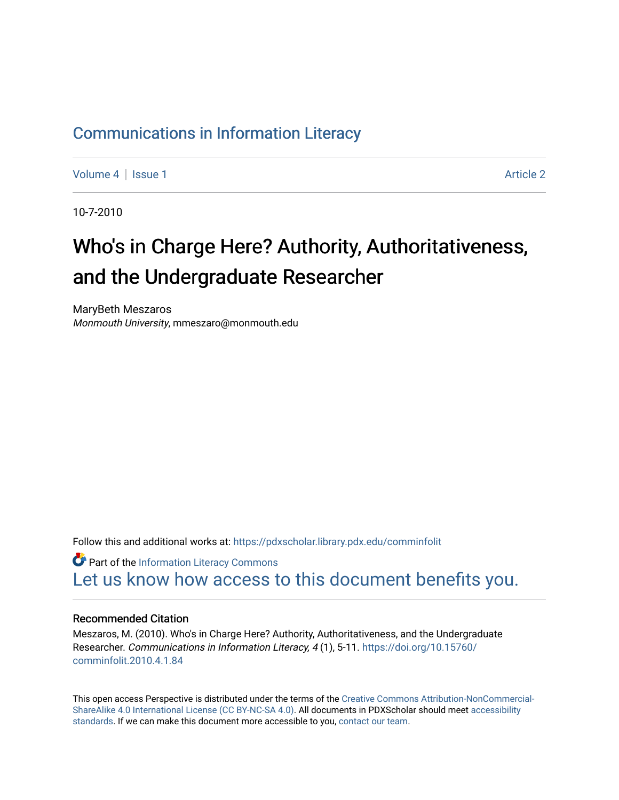### [Communications in Information Literacy](https://pdxscholar.library.pdx.edu/comminfolit)

[Volume 4](https://pdxscholar.library.pdx.edu/comminfolit/vol4) | [Issue 1](https://pdxscholar.library.pdx.edu/comminfolit/vol4/iss1) Article 2

10-7-2010

## Who's in Charge Here? Authority, Authoritativeness, and the Undergraduate Researcher

MaryBeth Meszaros Monmouth University, mmeszaro@monmouth.edu

Follow this and additional works at: [https://pdxscholar.library.pdx.edu/comminfolit](https://pdxscholar.library.pdx.edu/comminfolit?utm_source=pdxscholar.library.pdx.edu%2Fcomminfolit%2Fvol4%2Fiss1%2F2&utm_medium=PDF&utm_campaign=PDFCoverPages) 

**Part of the [Information Literacy Commons](http://network.bepress.com/hgg/discipline/1243?utm_source=pdxscholar.library.pdx.edu%2Fcomminfolit%2Fvol4%2Fiss1%2F2&utm_medium=PDF&utm_campaign=PDFCoverPages)** [Let us know how access to this document benefits you.](http://library.pdx.edu/services/pdxscholar-services/pdxscholar-feedback/) 

#### Recommended Citation

Meszaros, M. (2010). Who's in Charge Here? Authority, Authoritativeness, and the Undergraduate Researcher. Communications in Information Literacy, 4(1), 5-11. [https://doi.org/10.15760/](https://doi.org/10.15760/comminfolit.2010.4.1.84) [comminfolit.2010.4.1.84](https://doi.org/10.15760/comminfolit.2010.4.1.84)

This open access Perspective is distributed under the terms of the [Creative Commons Attribution-NonCommercial-](https://creativecommons.org/licenses/by-nc-sa/4.0/)[ShareAlike 4.0 International License \(CC BY-NC-SA 4.0\).](https://creativecommons.org/licenses/by-nc-sa/4.0/) All documents in PDXScholar should meet [accessibility](https://pdxscholar.library.pdx.edu/accessibility.html) [standards](https://pdxscholar.library.pdx.edu/accessibility.html). If we can make this document more accessible to you, [contact our team.](mailto:pdxscholar@pdx.edu)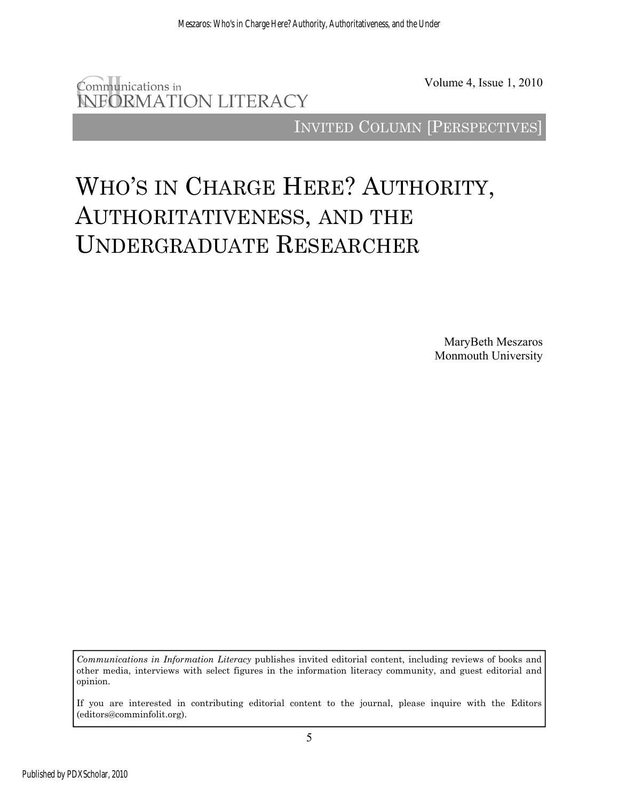

Volume 4, Issue 1, 2010

INVITED COLUMN [PERSPECTIVES]

# WHO'S IN CHARGE HERE? AUTHORITY, AUTHORITATIVENESS, AND THE UNDERGRADUATE RESEARCHER

MaryBeth Meszaros Monmouth University

*Communications in Information Literacy* publishes invited editorial content, including reviews of books and other media, interviews with select figures in the information literacy community, and guest editorial and opinion.

If you are interested in contributing editorial content to the journal, please inquire with the Editors (editors@comminfolit.org).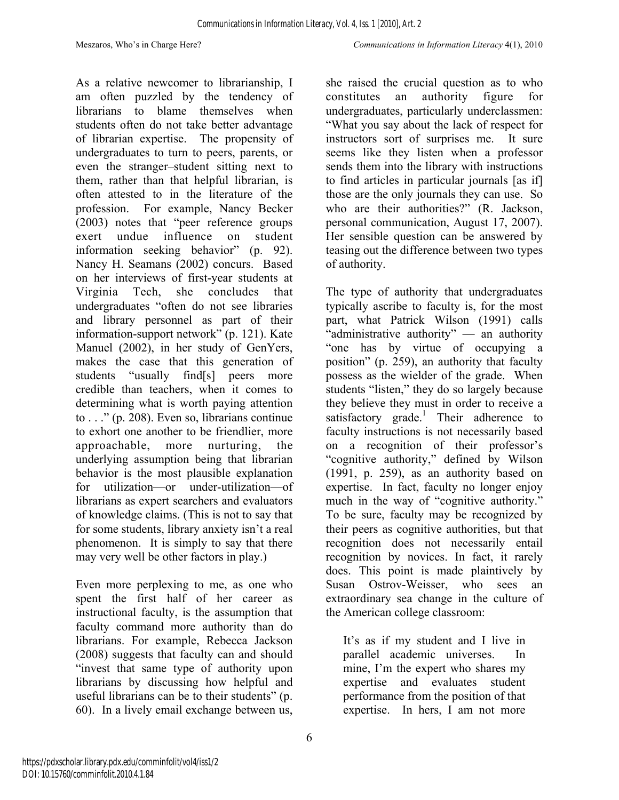As a relative newcomer to librarianship, I am often puzzled by the tendency of librarians to blame themselves when students often do not take better advantage of librarian expertise. The propensity of undergraduates to turn to peers, parents, or even the stranger–student sitting next to them, rather than that helpful librarian, is often attested to in the literature of the profession. For example, Nancy Becker (2003) notes that "peer reference groups exert undue influence on student information seeking behavior" (p. 92). Nancy H. Seamans (2002) concurs. Based on her interviews of first-year students at Virginia Tech, she concludes that undergraduates "often do not see libraries and library personnel as part of their information-support network" (p. 121). Kate Manuel (2002), in her study of GenYers, makes the case that this generation of students "usually find[s] peers more credible than teachers, when it comes to determining what is worth paying attention to . . ." (p. 208). Even so, librarians continue to exhort one another to be friendlier, more approachable, more nurturing, the underlying assumption being that librarian behavior is the most plausible explanation for utilization—or under-utilization—of librarians as expert searchers and evaluators of knowledge claims. (This is not to say that for some students, library anxiety isn't a real phenomenon. It is simply to say that there may very well be other factors in play.)

Even more perplexing to me, as one who spent the first half of her career as instructional faculty, is the assumption that faculty command more authority than do librarians. For example, Rebecca Jackson (2008) suggests that faculty can and should "invest that same type of authority upon librarians by discussing how helpful and useful librarians can be to their students" (p. 60). In a lively email exchange between us,

she raised the crucial question as to who constitutes an authority figure for undergraduates, particularly underclassmen: "What you say about the lack of respect for instructors sort of surprises me. It sure seems like they listen when a professor sends them into the library with instructions to find articles in particular journals [as if] those are the only journals they can use. So who are their authorities?" (R. Jackson, personal communication, August 17, 2007). Her sensible question can be answered by teasing out the difference between two types of authority.

The type of authority that undergraduates typically ascribe to faculty is, for the most part, what Patrick Wilson (1991) calls "administrative authority" — an authority "one has by virtue of occupying a position" (p. 259), an authority that faculty possess as the wielder of the grade. When students "listen," they do so largely because they believe they must in order to receive a satisfactory grade.<sup>1</sup> Their adherence to faculty instructions is not necessarily based on a recognition of their professor's "cognitive authority," defined by Wilson (1991, p. 259), as an authority based on expertise. In fact, faculty no longer enjoy much in the way of "cognitive authority." To be sure, faculty may be recognized by their peers as cognitive authorities, but that recognition does not necessarily entail recognition by novices. In fact, it rarely does. This point is made plaintively by Susan Ostrov-Weisser, who sees an extraordinary sea change in the culture of the American college classroom:

It's as if my student and I live in parallel academic universes. In mine, I'm the expert who shares my expertise and evaluates student performance from the position of that expertise. In hers, I am not more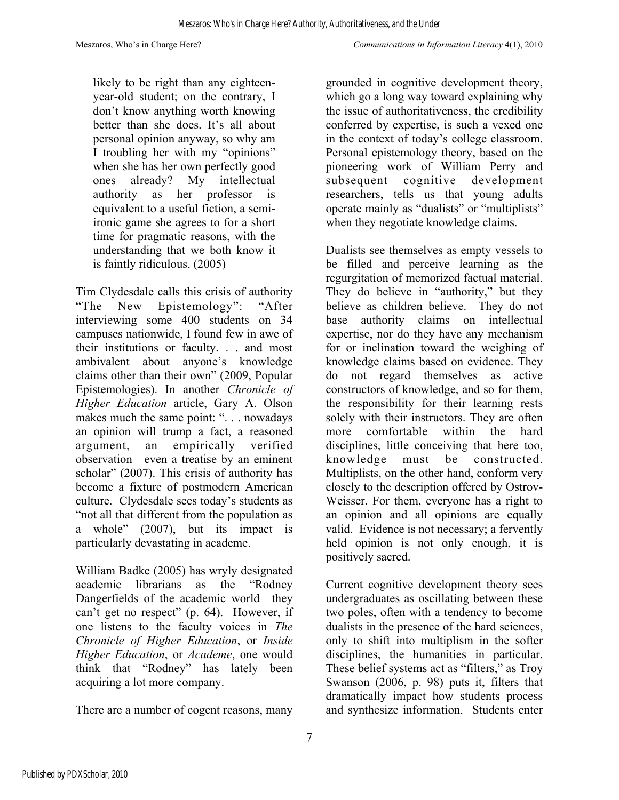likely to be right than any eighteenyear-old student; on the contrary, I don't know anything worth knowing better than she does. It's all about personal opinion anyway, so why am I troubling her with my "opinions" when she has her own perfectly good ones already? My intellectual authority as her professor is equivalent to a useful fiction, a semiironic game she agrees to for a short time for pragmatic reasons, with the understanding that we both know it is faintly ridiculous. (2005)

Tim Clydesdale calls this crisis of authority "The New Epistemology": "After interviewing some 400 students on 34 campuses nationwide, I found few in awe of their institutions or faculty. . . and most ambivalent about anyone's knowledge claims other than their own" (2009, Popular Epistemologies). In another *Chronicle of Higher Education* article, Gary A. Olson makes much the same point: ". . . nowadays an opinion will trump a fact, a reasoned argument, an empirically verified observation—even a treatise by an eminent scholar" (2007). This crisis of authority has become a fixture of postmodern American culture. Clydesdale sees today's students as "not all that different from the population as a whole" (2007), but its impact is particularly devastating in academe.

William Badke (2005) has wryly designated academic librarians as the "Rodney Dangerfields of the academic world—they can't get no respect" (p. 64). However, if one listens to the faculty voices in *The Chronicle of Higher Education*, or *Inside Higher Education*, or *Academe*, one would think that "Rodney" has lately been acquiring a lot more company.

There are a number of cogent reasons, many

grounded in cognitive development theory, which go a long way toward explaining why the issue of authoritativeness, the credibility conferred by expertise, is such a vexed one in the context of today's college classroom. Personal epistemology theory, based on the pioneering work of William Perry and subsequent cognitive development researchers, tells us that young adults operate mainly as "dualists" or "multiplists" when they negotiate knowledge claims.

Dualists see themselves as empty vessels to be filled and perceive learning as the regurgitation of memorized factual material. They do believe in "authority," but they believe as children believe. They do not base authority claims on intellectual expertise, nor do they have any mechanism for or inclination toward the weighing of knowledge claims based on evidence. They do not regard themselves as active constructors of knowledge, and so for them, the responsibility for their learning rests solely with their instructors. They are often more comfortable within the hard disciplines, little conceiving that here too, knowledge must be constructed. Multiplists, on the other hand, conform very closely to the description offered by Ostrov-Weisser. For them, everyone has a right to an opinion and all opinions are equally valid. Evidence is not necessary; a fervently held opinion is not only enough, it is positively sacred.

Current cognitive development theory sees undergraduates as oscillating between these two poles, often with a tendency to become dualists in the presence of the hard sciences, only to shift into multiplism in the softer disciplines, the humanities in particular. These belief systems act as "filters," as Troy Swanson (2006, p. 98) puts it, filters that dramatically impact how students process and synthesize information. Students enter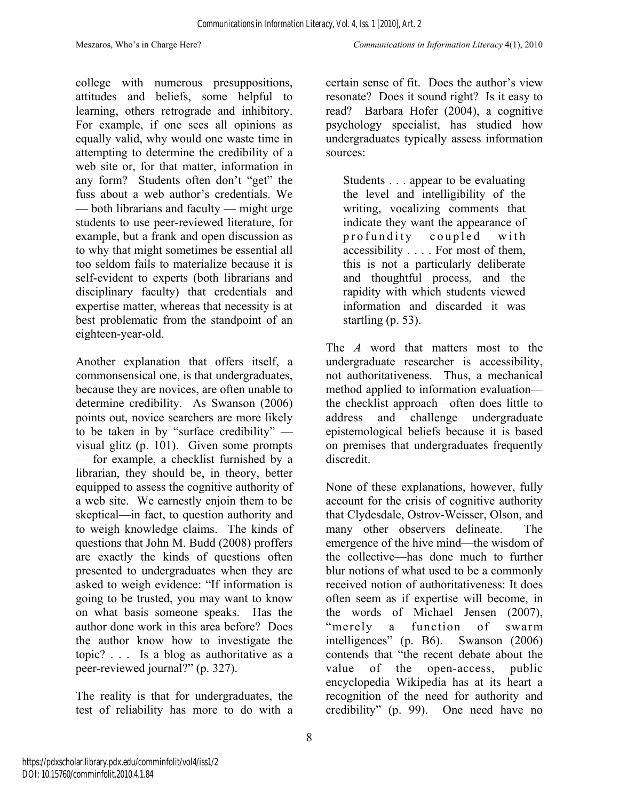college with numerous presuppositions, attitudes and beliefs, some helpful to learning, others retrograde and inhibitory. For example, if one sees all opinions as equally valid, why would one waste time in attempting to determine the credibility of a web site or, for that matter, information in any form? Students often don't "get" the fuss about a web author's credentials. We — both librarians and faculty — might urge students to use peer-reviewed literature, for example, but a frank and open discussion as to why that might sometimes be essential all too seldom fails to materialize because it is self-evident to experts (both librarians and disciplinary faculty) that credentials and expertise matter, whereas that necessity is at best problematic from the standpoint of an eighteen-year-old.

Another explanation that offers itself, a commonsensical one, is that undergraduates, because they are novices, are often unable to determine credibility. As Swanson (2006) points out, novice searchers are more likely to be taken in by "surface credibility" visual glitz (p. 101). Given some prompts — for example, a checklist furnished by a librarian, they should be, in theory, better equipped to assess the cognitive authority of a web site. We earnestly enjoin them to be skeptical—in fact, to question authority and to weigh knowledge claims. The kinds of questions that John M. Budd (2008) proffers are exactly the kinds of questions often presented to undergraduates when they are asked to weigh evidence: "If information is going to be trusted, you may want to know on what basis someone speaks. Has the author done work in this area before? Does the author know how to investigate the topic? . . . Is a blog as authoritative as a peer-reviewed journal?" (p. 327).

The reality is that for undergraduates, the test of reliability has more to do with a certain sense of fit. Does the author's view resonate? Does it sound right? Is it easy to read? Barbara Hofer (2004), a cognitive psychology specialist, has studied how undergraduates typically assess information sources:

Students . . . appear to be evaluating the level and intelligibility of the writing, vocalizing comments that indicate they want the appearance of profundity coupled with accessibility . . . . For most of them, this is not a particularly deliberate and thoughtful process, and the rapidity with which students viewed information and discarded it was startling (p. 53).

The *A* word that matters most to the undergraduate researcher is accessibility, not authoritativeness. Thus, a mechanical method applied to information evaluation the checklist approach—often does little to address and challenge undergraduate epistemological beliefs because it is based on premises that undergraduates frequently discredit.

None of these explanations, however, fully account for the crisis of cognitive authority that Clydesdale, Ostrov-Weisser, Olson, and many other observers delineate. The emergence of the hive mind—the wisdom of the collective—has done much to further blur notions of what used to be a commonly received notion of authoritativeness: It does often seem as if expertise will become, in the words of Michael Jensen (2007), "merely a function of swarm intelligences" (p. B6). Swanson (2006) contends that "the recent debate about the value of the open-access, public encyclopedia Wikipedia has at its heart a recognition of the need for authority and credibility" (p. 99). One need have no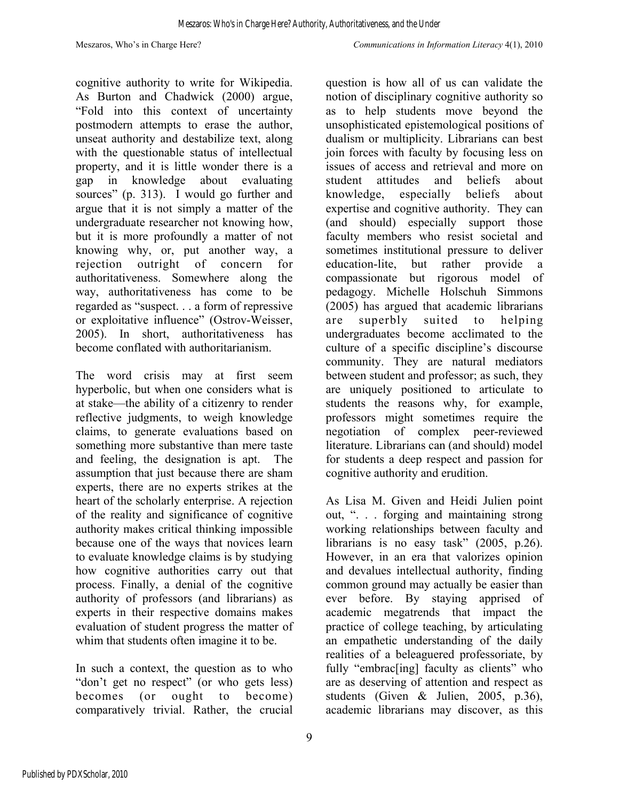cognitive authority to write for Wikipedia. As Burton and Chadwick (2000) argue, "Fold into this context of uncertainty postmodern attempts to erase the author, unseat authority and destabilize text, along with the questionable status of intellectual property, and it is little wonder there is a gap in knowledge about evaluating sources" (p. 313). I would go further and argue that it is not simply a matter of the undergraduate researcher not knowing how, but it is more profoundly a matter of not knowing why, or, put another way, a rejection outright of concern for authoritativeness. Somewhere along the way, authoritativeness has come to be regarded as "suspect. . . a form of repressive or exploitative influence" (Ostrov-Weisser, 2005). In short, authoritativeness has become conflated with authoritarianism.

The word crisis may at first seem hyperbolic, but when one considers what is at stake—the ability of a citizenry to render reflective judgments, to weigh knowledge claims, to generate evaluations based on something more substantive than mere taste and feeling, the designation is apt. The assumption that just because there are sham experts, there are no experts strikes at the heart of the scholarly enterprise. A rejection of the reality and significance of cognitive authority makes critical thinking impossible because one of the ways that novices learn to evaluate knowledge claims is by studying how cognitive authorities carry out that process. Finally, a denial of the cognitive authority of professors (and librarians) as experts in their respective domains makes evaluation of student progress the matter of whim that students often imagine it to be.

In such a context, the question as to who "don't get no respect" (or who gets less) becomes (or ought to become) comparatively trivial. Rather, the crucial

question is how all of us can validate the notion of disciplinary cognitive authority so as to help students move beyond the unsophisticated epistemological positions of dualism or multiplicity. Librarians can best join forces with faculty by focusing less on issues of access and retrieval and more on student attitudes and beliefs about knowledge, especially beliefs about expertise and cognitive authority. They can (and should) especially support those faculty members who resist societal and sometimes institutional pressure to deliver education-lite, but rather provide a compassionate but rigorous model of pedagogy. Michelle Holschuh Simmons (2005) has argued that academic librarians are superbly suited to helping undergraduates become acclimated to the culture of a specific discipline's discourse community. They are natural mediators between student and professor; as such, they are uniquely positioned to articulate to students the reasons why, for example, professors might sometimes require the negotiation of complex peer-reviewed literature. Librarians can (and should) model for students a deep respect and passion for cognitive authority and erudition.

As Lisa M. Given and Heidi Julien point out, ". . . forging and maintaining strong working relationships between faculty and librarians is no easy task" (2005, p.26). However, in an era that valorizes opinion and devalues intellectual authority, finding common ground may actually be easier than ever before. By staying apprised of academic megatrends that impact the practice of college teaching, by articulating an empathetic understanding of the daily realities of a beleaguered professoriate, by fully "embrac<sup>[ing]</sup> faculty as clients" who are as deserving of attention and respect as students (Given & Julien, 2005, p.36), academic librarians may discover, as this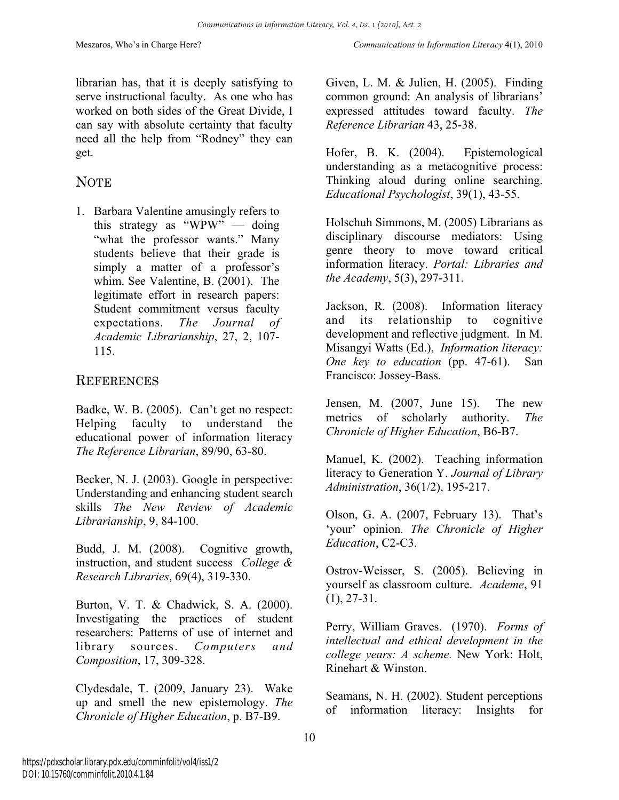librarian has, that it is deeply satisfying to serve instructional faculty. As one who has worked on both sides of the Great Divide, I can say with absolute certainty that faculty need all the help from "Rodney" they can get.

### **NOTE**

1. Barbara Valentine amusingly refers to this strategy as "WPW" — doing "what the professor wants." Many students believe that their grade is simply a matter of a professor's whim. See Valentine, B. (2001). The legitimate effort in research papers: Student commitment versus faculty expectations. *The Journal of Academic Librarianship*, 27, 2, 107- 115.

### **REFERENCES**

Badke, W. B. (2005). Can't get no respect: Helping faculty to understand the educational power of information literacy *The Reference Librarian*, 89/90, 63-80.

Becker, N. J. (2003). Google in perspective: Understanding and enhancing student search skills *The New Review of Academic Librarianship*, 9, 84-100.

Budd, J. M. (2008). Cognitive growth, instruction, and student success *College & Research Libraries*, 69(4), 319-330.

Burton, V. T. & Chadwick, S. A. (2000). Investigating the practices of student researchers: Patterns of use of internet and library sources. *Computers and Composition*, 17, 309-328.

Clydesdale, T. (2009, January 23). Wake up and smell the new epistemology. *The Chronicle of Higher Education*, p. B7-B9.

Given, L. M. & Julien, H. (2005). Finding common ground: An analysis of librarians' expressed attitudes toward faculty. *The Reference Librarian* 43, 25-38.

Hofer, B. K. (2004). Epistemological understanding as a metacognitive process: Thinking aloud during online searching. *Educational Psychologist*, 39(1), 43-55.

Holschuh Simmons, M. (2005) Librarians as disciplinary discourse mediators: Using genre theory to move toward critical information literacy. *Portal: Libraries and the Academy*, 5(3), 297-311.

Jackson, R. (2008). Information literacy and its relationship to cognitive development and reflective judgment. In M. Misangyi Watts (Ed.), *Information literacy: One key to education* (pp. 47-61). San Francisco: Jossey-Bass.

Jensen, M. (2007, June 15). The new metrics of scholarly authority. *The Chronicle of Higher Education*, B6-B7.

Manuel, K. (2002). Teaching information literacy to Generation Y. *Journal of Library Administration*, 36(1/2), 195-217.

Olson, G. A. (2007, February 13). That's 'your' opinion. *The Chronicle of Higher Education*, C2-C3.

Ostrov-Weisser, S. (2005). Believing in yourself as classroom culture. *Academe*, 91 (1), 27-31.

Perry, William Graves. (1970). *Forms of intellectual and ethical development in the college years: A scheme.* New York: Holt, Rinehart & Winston.

Seamans, N. H. (2002). Student perceptions of information literacy: Insights for